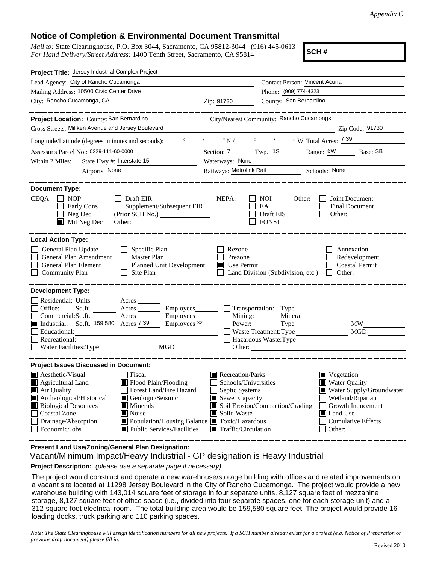## **Notice of Completion & Environmental Document Transmittal**

*Mail to:* State Clearinghouse, P.O. Box 3044, Sacramento, CA 95812-3044 (916) 445-0613 *For Hand Delivery/Street Address:* 1400 Tenth Street, Sacramento, CA 95814

**SCH #**

| Project Title: Jersey Industrial Complex Project                                                                                                                                                                                                                                                                                                                                                                                              |                                                                                                                                   |                                                                                                                                                                |                                                                                                                                                                                    |
|-----------------------------------------------------------------------------------------------------------------------------------------------------------------------------------------------------------------------------------------------------------------------------------------------------------------------------------------------------------------------------------------------------------------------------------------------|-----------------------------------------------------------------------------------------------------------------------------------|----------------------------------------------------------------------------------------------------------------------------------------------------------------|------------------------------------------------------------------------------------------------------------------------------------------------------------------------------------|
| Lead Agency: City of Rancho Cucamonga                                                                                                                                                                                                                                                                                                                                                                                                         |                                                                                                                                   | Contact Person: Vincent Acuna                                                                                                                                  |                                                                                                                                                                                    |
| Mailing Address: 10500 Civic Center Drive                                                                                                                                                                                                                                                                                                                                                                                                     |                                                                                                                                   | Phone: (909) 774-4323                                                                                                                                          |                                                                                                                                                                                    |
| City: Rancho Cucamonga, CA                                                                                                                                                                                                                                                                                                                                                                                                                    | Zip: 91730                                                                                                                        | County: San Bernardino                                                                                                                                         |                                                                                                                                                                                    |
| Project Location: County: San Bernardino<br>Cross Streets: Miliken Avenue and Jersey Boulevard                                                                                                                                                                                                                                                                                                                                                |                                                                                                                                   | City/Nearest Community: Rancho Cucamongs                                                                                                                       | _________<br>Zip Code: 91730                                                                                                                                                       |
|                                                                                                                                                                                                                                                                                                                                                                                                                                               |                                                                                                                                   |                                                                                                                                                                |                                                                                                                                                                                    |
|                                                                                                                                                                                                                                                                                                                                                                                                                                               |                                                                                                                                   |                                                                                                                                                                |                                                                                                                                                                                    |
| Assessor's Parcel No.: 0229-111-60-0000<br>State Hwy #: Interstate 15                                                                                                                                                                                                                                                                                                                                                                         | Section: 7 Twp.: 1S<br>Waterways: None                                                                                            |                                                                                                                                                                | Base: SB                                                                                                                                                                           |
| Within 2 Miles:<br>Airports: None                                                                                                                                                                                                                                                                                                                                                                                                             |                                                                                                                                   |                                                                                                                                                                |                                                                                                                                                                                    |
|                                                                                                                                                                                                                                                                                                                                                                                                                                               |                                                                                                                                   |                                                                                                                                                                |                                                                                                                                                                                    |
| <b>Document Type:</b><br>$CEQA: \Box NP$<br>│ │ Draft EIR<br>Supplement/Subsequent EIR<br>Early Cons<br>$\Box$ Neg Dec<br>$\blacksquare$ Mit Neg Dec<br>Other:                                                                                                                                                                                                                                                                                | NEPA:                                                                                                                             | <b>NOI</b><br>Other:<br>EA<br>Draft EIS<br><b>FONSI</b>                                                                                                        | Joint Document<br>Final Document<br>Other:                                                                                                                                         |
| <b>Local Action Type:</b><br>General Plan Update<br>$\Box$ Specific Plan<br>General Plan Amendment<br>$\Box$ Master Plan<br>General Plan Element<br>Planned Unit Development<br>Community Plan<br>Site Plan<br>$\perp$                                                                                                                                                                                                                        | Rezone<br>Prezone<br>$\blacksquare$ Use Permit                                                                                    | Land Division (Subdivision, etc.)                                                                                                                              | Annexation<br>Redevelopment<br><b>Coastal Permit</b><br>$\Box$ Other:                                                                                                              |
| <b>Development Type:</b><br>Residential: Units ________ Acres _______<br>Office:<br>Sq.ft.<br>Acres<br>Acres Employees<br>Commercial:Sq.ft.<br>Industrial: Sq.ft. 159,580 Acres 7.39<br>Employees 32<br>Educational:<br>Recreational:<br>MGD<br>Water Facilities: Type                                                                                                                                                                        | $\Box$ Mining:<br>Power:<br>$\mathsf{L}$<br>Other:                                                                                | Employees Transportation: Type<br>Mineral<br>Waste Treatment: Type<br>Hazardous Waste:Type<br><u> 1989 - Johann Stein, mars an t-Amerikaansk kommunister (</u> | MGD                                                                                                                                                                                |
| <b>Project Issues Discussed in Document:</b><br><b>Aesthetic/Visual</b><br>Fiscal<br>Flood Plain/Flooding<br><b>Agricultural Land</b><br>IW<br>Air Quality<br>Forest Land/Fire Hazard<br>Archeological/Historical<br>Geologic/Seismic<br><b>Biological Resources</b><br>Minerals<br><b>Coastal Zone</b><br>Noise<br>Drainage/Absorption<br>Population/Housing Balance ■ Toxic/Hazardous<br><b>Public Services/Facilities</b><br>Economic/Jobs | Recreation/Parks<br>Schools/Universities<br>Septic Systems<br>Sewer Capacity<br>Solid Waste<br>$\blacksquare$ Traffic/Circulation | Soil Erosion/Compaction/Grading                                                                                                                                | $\blacksquare$ Vegetation<br><b>Water Quality</b><br>Water Supply/Groundwater<br>Wetland/Riparian<br>Growth Inducement<br><b>■</b> Land Use<br><b>Cumulative Effects</b><br>Other: |

**Present Land Use/Zoning/General Plan Designation:**

Vacant/Minimum Impact/Heavy Industrial - GP designation is Heavy Industrial

**Project Description:** *(please use a separate page if necessary)*

 The project would construct and operate a new warehouse/storage building with offices and related improvements on a vacant site located at 11298 Jersey Boulevard in the City of Rancho Cucamonga. The project would provide a new warehouse building with 143,014 square feet of storage in four separate units, 8,127 square feet of mezzanine storage, 8,127 square feet of office space (i.e., divided into four separate spaces, one for each storage unit) and a 312-square foot electrical room. The total building area would be 159,580 square feet. The project would provide 16 loading docks, truck parking and 110 parking spaces.

*Note: The State Clearinghouse will assign identification numbers for all new projects. If a SCH number already exists for a project (e.g. Notice of Preparation or previous draft document) please fill in.*